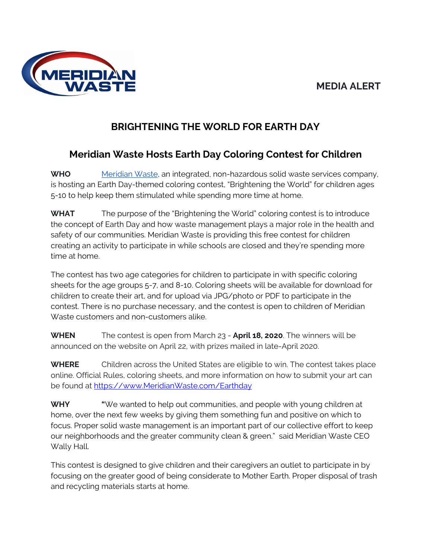### **MEDIA ALERT**



## **BRIGHTENING THE WORLD FOR EARTH DAY**

# **Meridian Waste Hosts Earth Day Coloring Contest for Children**

**WHO** [Meridian](https://www.meridianwaste.com/) Waste, an integrated, non-hazardous solid waste services company, is hosting an Earth Day-themed coloring contest, "Brightening the World" for children ages 5-10 to help keep them stimulated while spending more time at home.

**WHAT** The purpose of the "Brightening the World" coloring contest is to introduce the concept of Earth Day and how waste management plays a major role in the health and safety of our communities. Meridian Waste is providing this free contest for children creating an activity to participate in while schools are closed and they're spending more time at home.

The contest has two age categories for children to participate in with specific coloring sheets for the age groups 5-7, and 8-10. Coloring sheets will be available for download for children to create their art, and for upload via JPG/photo or PDF to participate in the contest. There is no purchase necessary, and the contest is open to children of Meridian Waste customers and non-customers alike.

**WHEN** The contest is open from March 23 - **April 18, 2020**. The winners will be announced on the website on April 22, with prizes mailed in late-April 2020.

**WHERE** Children across the United States are eligible to win. The contest takes place online. Official Rules, coloring sheets, and more information on how to submit your art can be found at [https://www.MeridianWaste.com/Earthday](https://www.meridianwaste.com/Earthday)

**WHY "**We wanted to help out communities, and people with young children at home, over the next few weeks by giving them something fun and positive on which to focus. Proper solid waste management is an important part of our collective effort to keep our neighborhoods and the greater community clean & green." said Meridian Waste CEO Wally Hall.

This contest is designed to give children and their caregivers an outlet to participate in by focusing on the greater good of being considerate to Mother Earth. Proper disposal of trash and recycling materials starts at home.